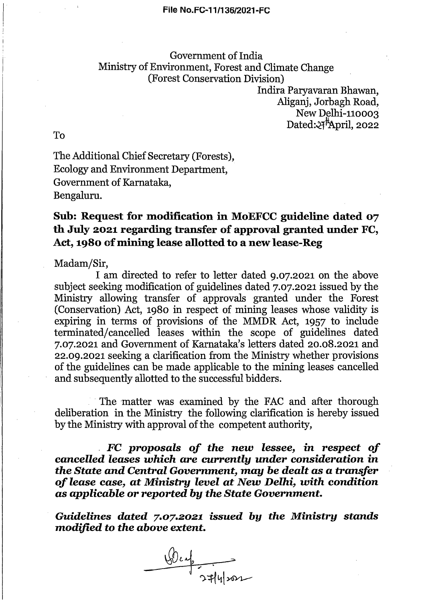## Government of India Ministry of Environment, Forest and Climate Change (Forest Conservation Division)

Indira Paryavaran Bhawan, Aliganj, Jorbagh Road, New Delhi-110003 Dated: $27$ <sup>†</sup>April, 2022

To

The Additional Chief Secretary (Forests), Ecology and Environment Department, Government of Karnataka, Bengaluru.

## Sub: Request for modification in MoEFCC guideline dated 07 th July 2021 regarding transfer of approval granted under FC, Act, 1980 of mining lease allotted to a new lease-Reg

Madam/Sir,

I am directed to refer to letter dated 9.07.2021 on the above subject seeking modification of guidelines dated 7.07.2021 issued by the Ministry allowing transfer of approvals granted under the Forest (Conservation) Act, 1980 in respect of mining leases whose validity is expiring in terms of provisions of the MMDR Act, 1957 to include terminated/cancelled leases within the scope of guidelines dated 7.07.2021 and Government of Karnataka's letters dated 20.08.2021 and 22.09.2021 seeking a clarification from the Ministry whether provisions of the guidelines can be made applicable to the mining leases cancelled and subsequently allotted to the successful bidders.

The matter was examined by the FAC and after thorough deliberation in the Ministry the following clarification is hereby issued by the Ministry with approval of the competent authority,

. FC *proposals of the new lessee,* in *respect of cancelled leases which are currently under* consideration in *the State and Central Government, may be dealt* as *a transfer oflease* case, *at* Ministry *level at New Delhi, with* condition as *applicable or reported by the State Government.* 

Guidelines dated 7.07.2021 issued by the Ministry stands *modified* to *the above extent.* 

 $\frac{60.4}{7744302}$